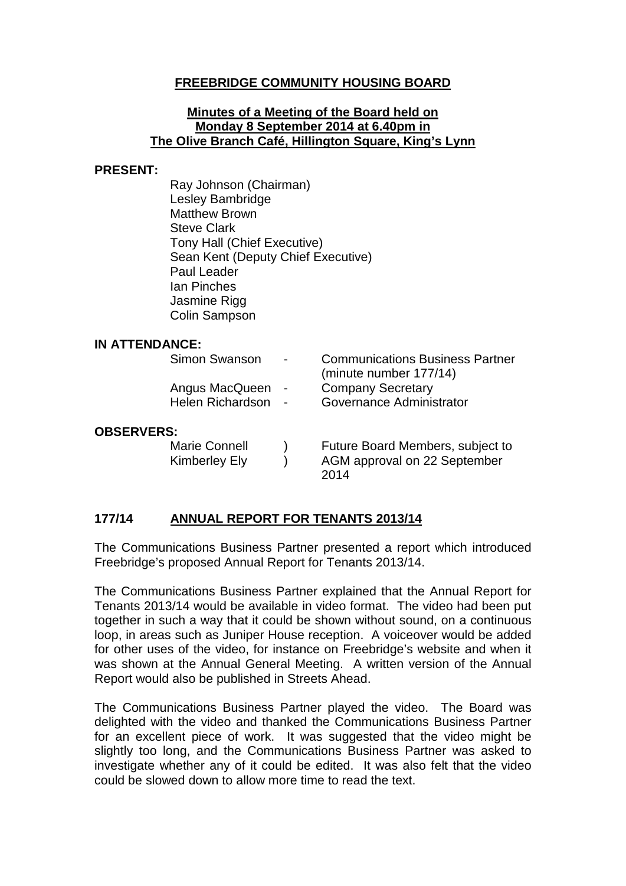## **FREEBRIDGE COMMUNITY HOUSING BOARD**

#### **Minutes of a Meeting of the Board held on Monday 8 September 2014 at 6.40pm in The Olive Branch Café, Hillington Square, King's Lynn**

#### **PRESENT:**

Ray Johnson (Chairman) Lesley Bambridge Matthew Brown Steve Clark Tony Hall (Chief Executive) Sean Kent (Deputy Chief Executive) Paul Leader Ian Pinches Jasmine Rigg Colin Sampson

#### **IN ATTENDANCE:**

|                   | Simon Swanson        |  | <b>Communications Business Partner</b><br>(minute number 177/14) |
|-------------------|----------------------|--|------------------------------------------------------------------|
|                   | Angus MacQueen       |  | <b>Company Secretary</b>                                         |
|                   | Helen Richardson -   |  | Governance Administrator                                         |
| <b>OBSERVERS:</b> |                      |  |                                                                  |
|                   | <b>Marie Connell</b> |  | Future Board Members, subject to                                 |
|                   | Kimberley Ely        |  | AGM approval on 22 September<br>2014                             |

### **177/14 ANNUAL REPORT FOR TENANTS 2013/14**

The Communications Business Partner presented a report which introduced Freebridge's proposed Annual Report for Tenants 2013/14.

The Communications Business Partner explained that the Annual Report for Tenants 2013/14 would be available in video format. The video had been put together in such a way that it could be shown without sound, on a continuous loop, in areas such as Juniper House reception. A voiceover would be added for other uses of the video, for instance on Freebridge's website and when it was shown at the Annual General Meeting. A written version of the Annual Report would also be published in Streets Ahead.

The Communications Business Partner played the video. The Board was delighted with the video and thanked the Communications Business Partner for an excellent piece of work. It was suggested that the video might be slightly too long, and the Communications Business Partner was asked to investigate whether any of it could be edited. It was also felt that the video could be slowed down to allow more time to read the text.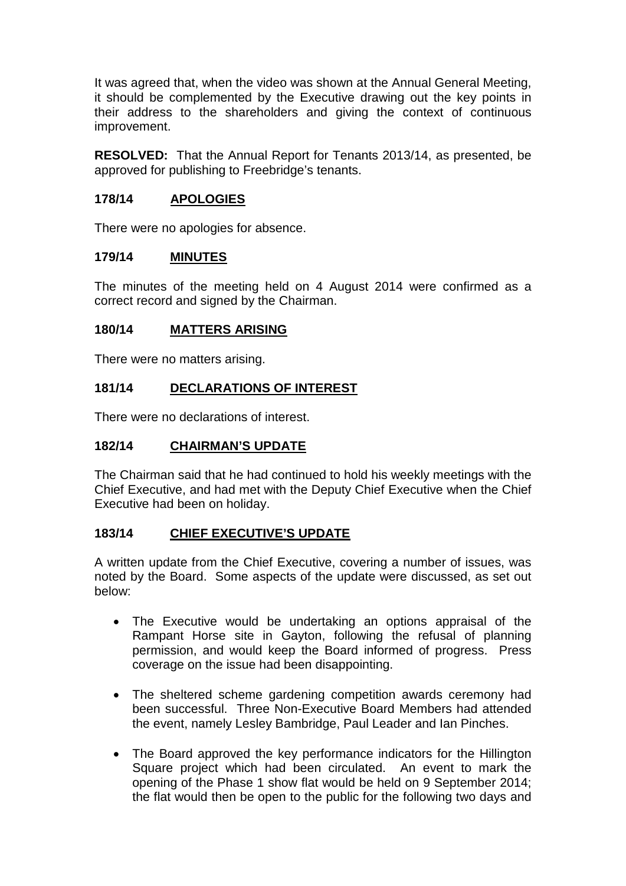It was agreed that, when the video was shown at the Annual General Meeting, it should be complemented by the Executive drawing out the key points in their address to the shareholders and giving the context of continuous improvement.

**RESOLVED:** That the Annual Report for Tenants 2013/14, as presented, be approved for publishing to Freebridge's tenants.

## **178/14 APOLOGIES**

There were no apologies for absence.

#### **179/14 MINUTES**

The minutes of the meeting held on 4 August 2014 were confirmed as a correct record and signed by the Chairman.

### **180/14 MATTERS ARISING**

There were no matters arising.

### **181/14 DECLARATIONS OF INTEREST**

There were no declarations of interest.

### **182/14 CHAIRMAN'S UPDATE**

The Chairman said that he had continued to hold his weekly meetings with the Chief Executive, and had met with the Deputy Chief Executive when the Chief Executive had been on holiday.

### **183/14 CHIEF EXECUTIVE'S UPDATE**

A written update from the Chief Executive, covering a number of issues, was noted by the Board. Some aspects of the update were discussed, as set out below:

- The Executive would be undertaking an options appraisal of the Rampant Horse site in Gayton, following the refusal of planning permission, and would keep the Board informed of progress. Press coverage on the issue had been disappointing.
- The sheltered scheme gardening competition awards ceremony had been successful. Three Non-Executive Board Members had attended the event, namely Lesley Bambridge, Paul Leader and Ian Pinches.
- The Board approved the key performance indicators for the Hillington Square project which had been circulated. An event to mark the opening of the Phase 1 show flat would be held on 9 September 2014; the flat would then be open to the public for the following two days and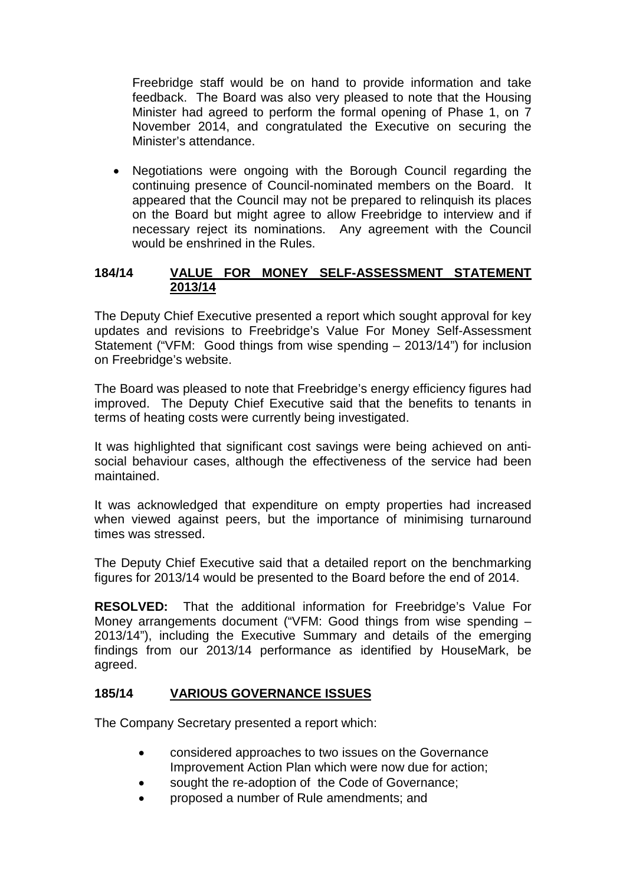Freebridge staff would be on hand to provide information and take feedback. The Board was also very pleased to note that the Housing Minister had agreed to perform the formal opening of Phase 1, on 7 November 2014, and congratulated the Executive on securing the Minister's attendance.

• Negotiations were ongoing with the Borough Council regarding the continuing presence of Council-nominated members on the Board. It appeared that the Council may not be prepared to relinquish its places on the Board but might agree to allow Freebridge to interview and if necessary reject its nominations. Any agreement with the Council would be enshrined in the Rules.

## **184/14 VALUE FOR MONEY SELF-ASSESSMENT STATEMENT 2013/14**

The Deputy Chief Executive presented a report which sought approval for key updates and revisions to Freebridge's Value For Money Self-Assessment Statement ("VFM: Good things from wise spending – 2013/14") for inclusion on Freebridge's website.

The Board was pleased to note that Freebridge's energy efficiency figures had improved. The Deputy Chief Executive said that the benefits to tenants in terms of heating costs were currently being investigated.

It was highlighted that significant cost savings were being achieved on antisocial behaviour cases, although the effectiveness of the service had been maintained.

It was acknowledged that expenditure on empty properties had increased when viewed against peers, but the importance of minimising turnaround times was stressed.

The Deputy Chief Executive said that a detailed report on the benchmarking figures for 2013/14 would be presented to the Board before the end of 2014.

**RESOLVED:** That the additional information for Freebridge's Value For Money arrangements document ("VFM: Good things from wise spending – 2013/14"), including the Executive Summary and details of the emerging findings from our 2013/14 performance as identified by HouseMark, be agreed.

### **185/14 VARIOUS GOVERNANCE ISSUES**

The Company Secretary presented a report which:

- considered approaches to two issues on the Governance Improvement Action Plan which were now due for action;
- sought the re-adoption of the Code of Governance;
- proposed a number of Rule amendments; and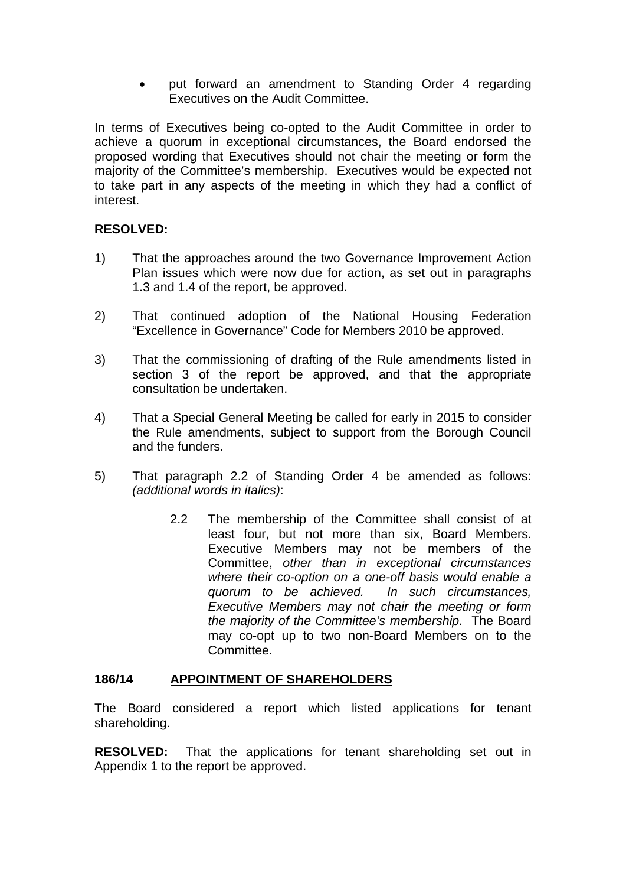• put forward an amendment to Standing Order 4 regarding Executives on the Audit Committee.

In terms of Executives being co-opted to the Audit Committee in order to achieve a quorum in exceptional circumstances, the Board endorsed the proposed wording that Executives should not chair the meeting or form the majority of the Committee's membership. Executives would be expected not to take part in any aspects of the meeting in which they had a conflict of interest.

## **RESOLVED:**

- 1) That the approaches around the two Governance Improvement Action Plan issues which were now due for action, as set out in paragraphs 1.3 and 1.4 of the report, be approved.
- 2) That continued adoption of the National Housing Federation "Excellence in Governance" Code for Members 2010 be approved.
- 3) That the commissioning of drafting of the Rule amendments listed in section 3 of the report be approved, and that the appropriate consultation be undertaken.
- 4) That a Special General Meeting be called for early in 2015 to consider the Rule amendments, subject to support from the Borough Council and the funders.
- 5) That paragraph 2.2 of Standing Order 4 be amended as follows: *(additional words in italics)*:
	- 2.2 The membership of the Committee shall consist of at least four, but not more than six, Board Members. Executive Members may not be members of the Committee, *other than in exceptional circumstances where their co-option on a one-off basis would enable a quorum to be achieved. In such circumstances, Executive Members may not chair the meeting or form the majority of the Committee's membership.* The Board may co-opt up to two non-Board Members on to the Committee.

### **186/14 APPOINTMENT OF SHAREHOLDERS**

The Board considered a report which listed applications for tenant shareholding.

**RESOLVED:** That the applications for tenant shareholding set out in Appendix 1 to the report be approved.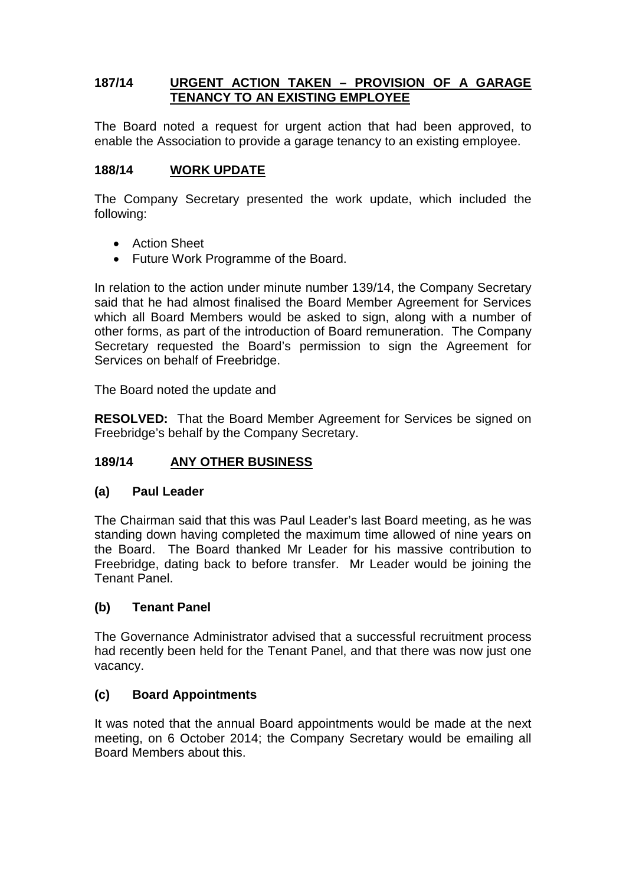# **187/14 URGENT ACTION TAKEN – PROVISION OF A GARAGE TENANCY TO AN EXISTING EMPLOYEE**

The Board noted a request for urgent action that had been approved, to enable the Association to provide a garage tenancy to an existing employee.

## **188/14 WORK UPDATE**

The Company Secretary presented the work update, which included the following:

- Action Sheet
- Future Work Programme of the Board.

In relation to the action under minute number 139/14, the Company Secretary said that he had almost finalised the Board Member Agreement for Services which all Board Members would be asked to sign, along with a number of other forms, as part of the introduction of Board remuneration. The Company Secretary requested the Board's permission to sign the Agreement for Services on behalf of Freebridge.

The Board noted the update and

**RESOLVED:** That the Board Member Agreement for Services be signed on Freebridge's behalf by the Company Secretary.

### **189/14 ANY OTHER BUSINESS**

### **(a) Paul Leader**

The Chairman said that this was Paul Leader's last Board meeting, as he was standing down having completed the maximum time allowed of nine years on the Board. The Board thanked Mr Leader for his massive contribution to Freebridge, dating back to before transfer. Mr Leader would be joining the Tenant Panel.

### **(b) Tenant Panel**

The Governance Administrator advised that a successful recruitment process had recently been held for the Tenant Panel, and that there was now just one vacancy.

### **(c) Board Appointments**

It was noted that the annual Board appointments would be made at the next meeting, on 6 October 2014; the Company Secretary would be emailing all Board Members about this.